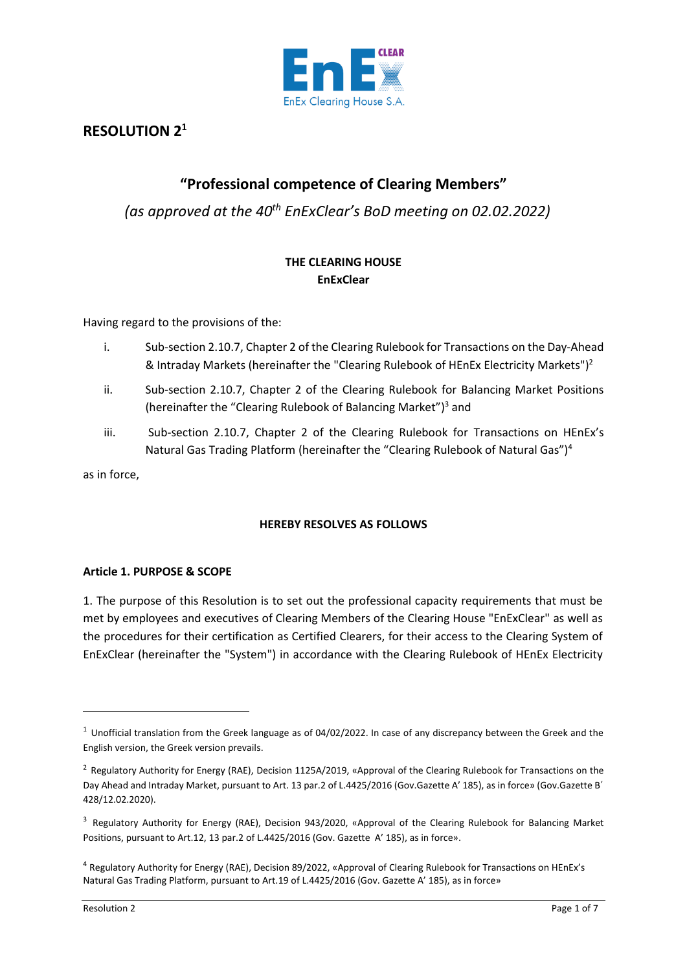

# **RESOLUTION 2<sup>1</sup>**

# **"Professional competence of Clearing Members"**

*(as approved at the 40th EnExClear's BoD meeting on 02.02.2022)*

# **THE CLEARING HOUSE EnExClear**

Having regard to the provisions of the:

- i. Sub-section 2.10.7, Chapter 2 of the Clearing Rulebook for Transactions on the Day-Ahead & Intraday Markets (hereinafter the "Clearing Rulebook of HEnEx Electricity Markets")<sup>2</sup>
- ii. Sub-section 2.10.7, Chapter 2 of the Clearing Rulebook for Balancing Market Positions (hereinafter the "Clearing Rulebook of Balancing Market")<sup>3</sup> and
- iii. Sub-section 2.10.7, Chapter 2 of the Clearing Rulebook for Transactions on HEnEx's Natural Gas Trading Platform (hereinafter the "Clearing Rulebook of Natural Gas")<sup>4</sup>

as in force,

# **HEREBY RESOLVES AS FOLLOWS**

# **Article 1. PURPOSE & SCOPE**

1. The purpose of this Resolution is to set out the professional capacity requirements that must be met by employees and executives of Clearing Members of the Clearing House "EnExClear" as well as the procedures for their certification as Certified Clearers, for their access to the Clearing System of EnExClear (hereinafter the "System") in accordance with the Clearing Rulebook of HEnEx Electricity

 $1$  Unofficial translation from the Greek language as of 04/02/2022. In case of any discrepancy between the Greek and the English version, the Greek version prevails.

<sup>&</sup>lt;sup>2</sup> Regulatory Authority for Energy (RAE), Decision 1125A/2019, «Approval of the Clearing Rulebook for Transactions on the Day Ahead and Intraday Market, pursuant to Art. 13 par.2 of L.4425/2016 (Gov.Gazette Α' 185), as in force» (Gov.Gazette Β΄ 428/12.02.2020).

<sup>&</sup>lt;sup>3</sup> Regulatory Authority for Energy (RAE), Decision 943/2020, «Approval of the Clearing Rulebook for Balancing Market Positions, pursuant to Art.12, 13 par.2 of L.4425/2016 (Gov. Gazette Α' 185), as in force».

<sup>4</sup> Regulatory Authority for Energy (RAE), Decision 89/2022, «Approval of Clearing Rulebook for Transactions on HEnEx's Natural Gas Trading Platform, pursuant to Art.19 of L.4425/2016 (Gov. Gazette Α' 185), as in force»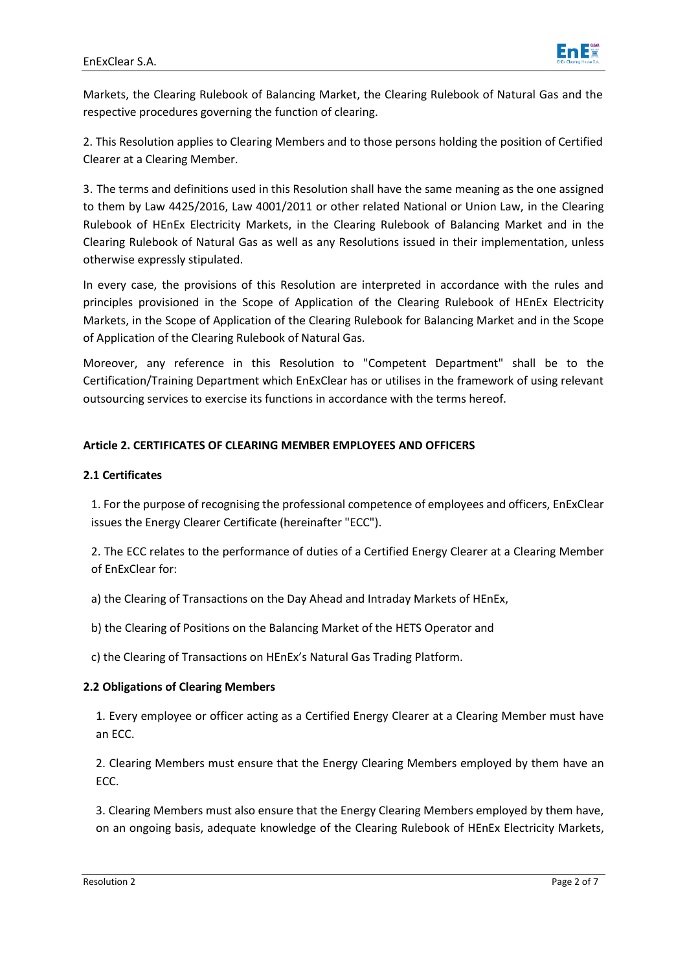

Markets, the Clearing Rulebook of Balancing Market, the Clearing Rulebook of Natural Gas and the respective procedures governing the function of clearing.

2. This Resolution applies to Clearing Members and to those persons holding the position of Certified Clearer at a Clearing Member.

3. The terms and definitions used in this Resolution shall have the same meaning as the one assigned to them by Law 4425/2016, Law 4001/2011 or other related National or Union Law, in the Clearing Rulebook of HEnEx Electricity Markets, in the Clearing Rulebook of Balancing Market and in the Clearing Rulebook of Natural Gas as well as any Resolutions issued in their implementation, unless otherwise expressly stipulated.

In every case, the provisions of this Resolution are interpreted in accordance with the rules and principles provisioned in the Scope of Application of the Clearing Rulebook of HEnEx Electricity Markets, in the Scope of Application of the Clearing Rulebook for Balancing Market and in the Scope of Application of the Clearing Rulebook of Natural Gas.

Moreover, any reference in this Resolution to "Competent Department" shall be to the Certification/Training Department which EnExClear has or utilises in the framework of using relevant outsourcing services to exercise its functions in accordance with the terms hereof.

# **Article 2. CERTIFICATES OF CLEARING MEMBER EMPLOYEES AND OFFICERS**

### **2.1 Certificates**

1. For the purpose of recognising the professional competence of employees and officers, EnExClear issues the Energy Clearer Certificate (hereinafter "ECC").

2. The ECC relates to the performance of duties of a Certified Energy Clearer at a Clearing Member of EnExClear for:

a) the Clearing of Transactions on the Day Ahead and Intraday Markets of HEnEx,

b) the Clearing of Positions on the Balancing Market of the HETS Operator and

c) the Clearing of Transactions on HEnEx's Natural Gas Trading Platform.

### **2.2 Obligations of Clearing Members**

1. Every employee or officer acting as a Certified Energy Clearer at a Clearing Member must have an ECC.

2. Clearing Members must ensure that the Energy Clearing Members employed by them have an ECC.

3. Clearing Members must also ensure that the Energy Clearing Members employed by them have, on an ongoing basis, adequate knowledge of the Clearing Rulebook of HEnEx Electricity Markets,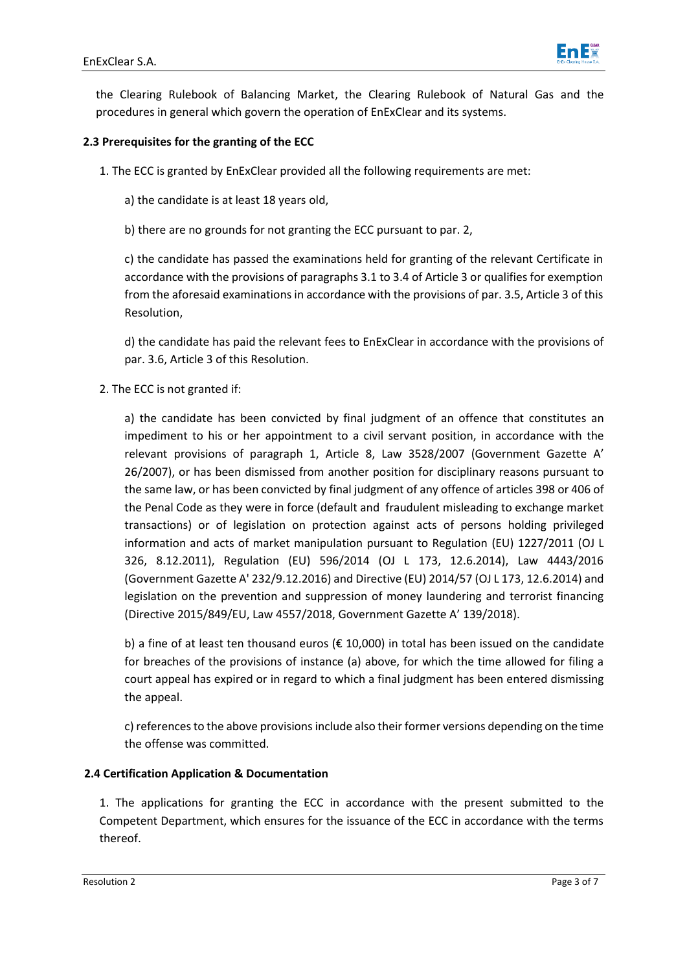

the Clearing Rulebook of Balancing Market, the Clearing Rulebook of Natural Gas and the procedures in general which govern the operation of EnExClear and its systems.

# **2.3 Prerequisites for the granting of the ECC**

1. The ECC is granted by EnExClear provided all the following requirements are met:

a) the candidate is at least 18 years old,

b) there are no grounds for not granting the ECC pursuant to par. 2,

c) the candidate has passed the examinations held for granting of the relevant Certificate in accordance with the provisions of paragraphs 3.1 to 3.4 of Article 3 or qualifies for exemption from the aforesaid examinations in accordance with the provisions of par. 3.5, Article 3 of this Resolution,

d) the candidate has paid the relevant fees to EnExClear in accordance with the provisions of par. 3.6, Article 3 of this Resolution.

2. The ECC is not granted if:

a) the candidate has been convicted by final judgment of an offence that constitutes an impediment to his or her appointment to a civil servant position, in accordance with the relevant provisions of paragraph 1, Article 8, Law 3528/2007 (Government Gazette A' 26/2007), or has been dismissed from another position for disciplinary reasons pursuant to the same law, or has been convicted by final judgment of any offence of articles 398 or 406 of the Penal Code as they were in force (default and fraudulent misleading to exchange market transactions) or of legislation on protection against acts of persons holding privileged information and acts of market manipulation pursuant to Regulation (EU) 1227/2011 (OJ L 326, 8.12.2011), Regulation (EU) 596/2014 (OJ L 173, 12.6.2014), Law 4443/2016 (Government Gazette Α' 232/9.12.2016) and Directive (EU) 2014/57 (OJ L 173, 12.6.2014) and legislation on the prevention and suppression of money laundering and terrorist financing (Directive 2015/849/EU, Law 4557/2018, Government Gazette A' 139/2018).

b) a fine of at least ten thousand euros ( $\epsilon$  10,000) in total has been issued on the candidate for breaches of the provisions of instance (a) above, for which the time allowed for filing a court appeal has expired or in regard to which a final judgment has been entered dismissing the appeal.

c) references to the above provisions include also their former versions depending on the time the offense was committed.

# **2.4 Certification Application & Documentation**

1. The applications for granting the ECC in accordance with the present submitted to the Competent Department, which ensures for the issuance of the ECC in accordance with the terms thereof.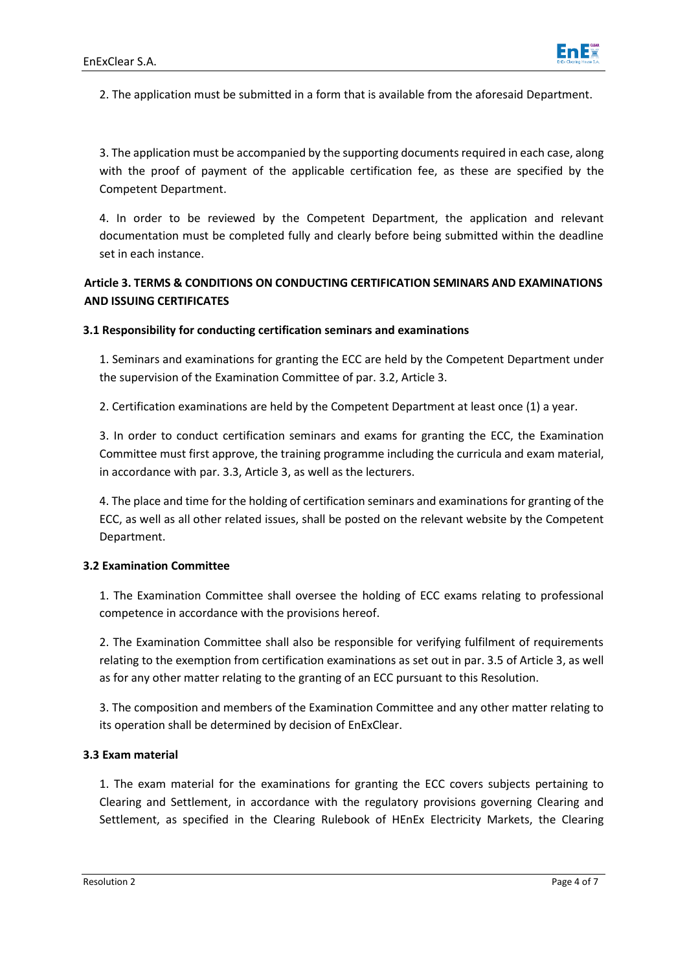

2. The application must be submitted in a form that is available from the aforesaid Department.

3. The application must be accompanied by the supporting documents required in each case, along with the proof of payment of the applicable certification fee, as these are specified by the Competent Department.

4. In order to be reviewed by the Competent Department, the application and relevant documentation must be completed fully and clearly before being submitted within the deadline set in each instance.

# **Article 3. TERMS & CONDITIONS ON CONDUCTING CERTIFICATION SEMINARS AND EXAMINATIONS AND ISSUING CERTIFICATES**

### **3.1 Responsibility for conducting certification seminars and examinations**

1. Seminars and examinations for granting the ECC are held by the Competent Department under the supervision of the Examination Committee of par. 3.2, Article 3.

2. Certification examinations are held by the Competent Department at least once (1) a year.

3. In order to conduct certification seminars and exams for granting the ECC, the Examination Committee must first approve, the training programme including the curricula and exam material, in accordance with par. 3.3, Article 3, as well as the lecturers.

4. The place and time for the holding of certification seminars and examinations for granting of the ECC, as well as all other related issues, shall be posted on the relevant website by the Competent Department.

### **3.2 Examination Committee**

1. The Examination Committee shall oversee the holding of ECC exams relating to professional competence in accordance with the provisions hereof.

2. The Examination Committee shall also be responsible for verifying fulfilment of requirements relating to the exemption from certification examinations as set out in par. 3.5 of Article 3, as well as for any other matter relating to the granting of an ECC pursuant to this Resolution.

3. The composition and members of the Examination Committee and any other matter relating to its operation shall be determined by decision of EnExClear.

### **3.3 Exam material**

1. The exam material for the examinations for granting the ECC covers subjects pertaining to Clearing and Settlement, in accordance with the regulatory provisions governing Clearing and Settlement, as specified in the Clearing Rulebook of HEnEx Electricity Markets, the Clearing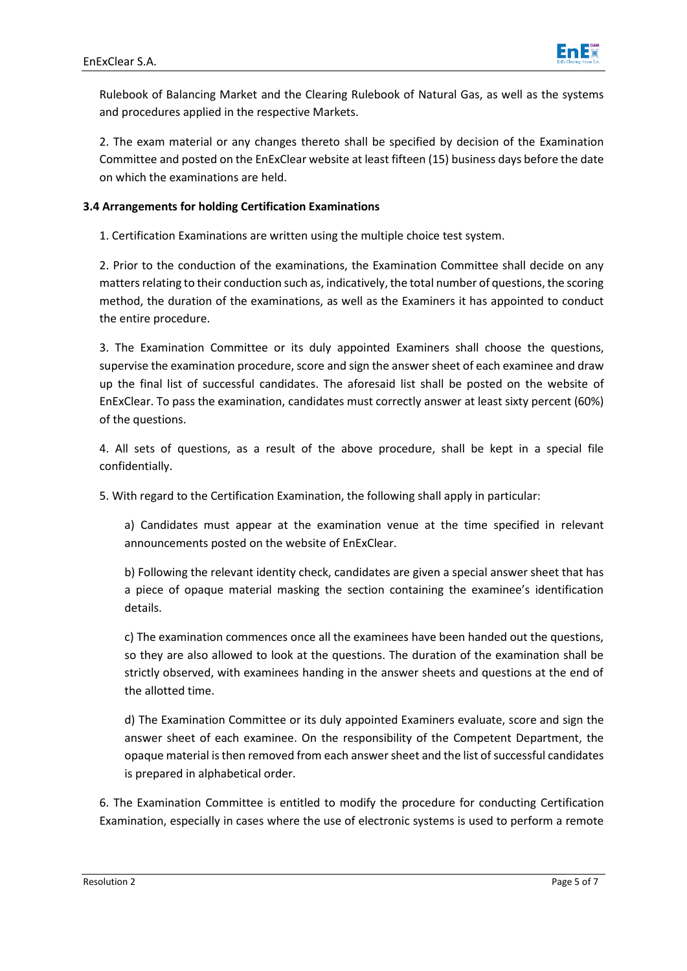

Rulebook of Balancing Market and the Clearing Rulebook of Natural Gas, as well as the systems and procedures applied in the respective Markets.

2. The exam material or any changes thereto shall be specified by decision of the Examination Committee and posted on the EnExClear website at least fifteen (15) business days before the date on which the examinations are held.

## **3.4 Arrangements for holding Certification Examinations**

1. Certification Examinations are written using the multiple choice test system.

2. Prior to the conduction of the examinations, the Examination Committee shall decide on any matters relating to their conduction such as, indicatively, the total number of questions, the scoring method, the duration of the examinations, as well as the Examiners it has appointed to conduct the entire procedure.

3. The Examination Committee or its duly appointed Examiners shall choose the questions, supervise the examination procedure, score and sign the answer sheet of each examinee and draw up the final list of successful candidates. The aforesaid list shall be posted on the website of EnExClear. To pass the examination, candidates must correctly answer at least sixty percent (60%) of the questions.

4. All sets of questions, as a result of the above procedure, shall be kept in a special file confidentially.

5. With regard to the Certification Examination, the following shall apply in particular:

a) Candidates must appear at the examination venue at the time specified in relevant announcements posted on the website of EnExClear.

b) Following the relevant identity check, candidates are given a special answer sheet that has a piece of opaque material masking the section containing the examinee's identification details.

c) The examination commences once all the examinees have been handed out the questions, so they are also allowed to look at the questions. The duration of the examination shall be strictly observed, with examinees handing in the answer sheets and questions at the end of the allotted time.

d) The Examination Committee or its duly appointed Examiners evaluate, score and sign the answer sheet of each examinee. On the responsibility of the Competent Department, the opaque material is then removed from each answer sheet and the list of successful candidates is prepared in alphabetical order.

6. The Examination Committee is entitled to modify the procedure for conducting Certification Examination, especially in cases where the use of electronic systems is used to perform a remote

Resolution 2 Page 5 of 7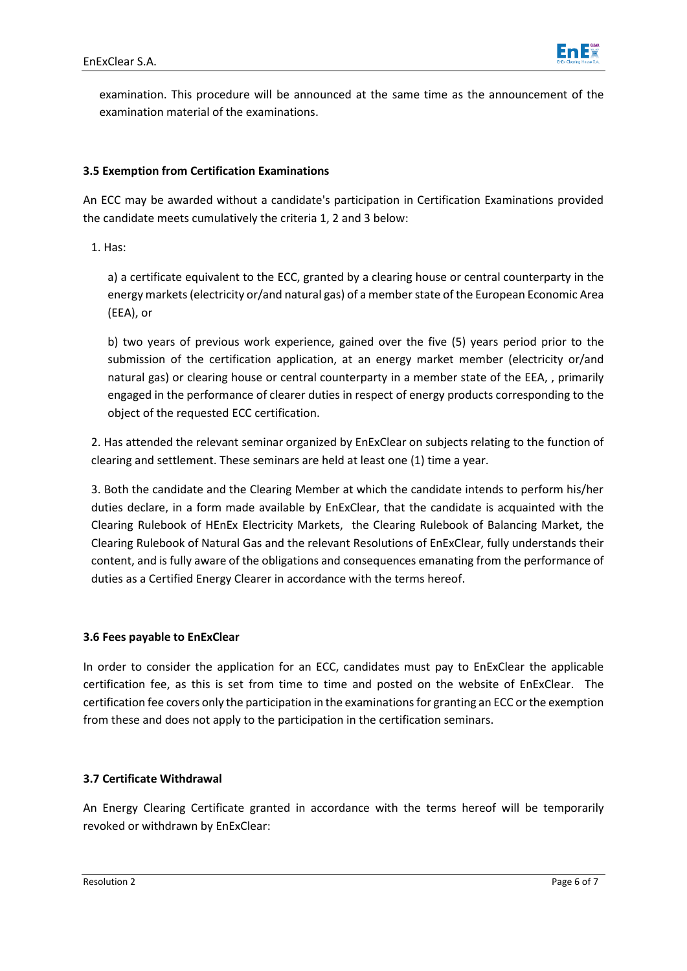

examination. This procedure will be announced at the same time as the announcement of the examination material of the examinations.

### **3.5 Exemption from Certification Examinations**

An ECC may be awarded without a candidate's participation in Certification Examinations provided the candidate meets cumulatively the criteria 1, 2 and 3 below:

1. Has:

a) a certificate equivalent to the ECC, granted by a clearing house or central counterparty in the energy markets(electricity or/and natural gas) of a member state of the European Economic Area (EEA), or

b) two years of previous work experience, gained over the five (5) years period prior to the submission of the certification application, at an energy market member (electricity or/and natural gas) or clearing house or central counterparty in a member state of the EEA, , primarily engaged in the performance of clearer duties in respect of energy products corresponding to the object of the requested ECC certification.

2. Has attended the relevant seminar organized by EnExClear on subjects relating to the function of clearing and settlement. These seminars are held at least one (1) time a year.

3. Both the candidate and the Clearing Member at which the candidate intends to perform his/her duties declare, in a form made available by EnExClear, that the candidate is acquainted with the Clearing Rulebook of HEnEx Electricity Markets, the Clearing Rulebook of Balancing Market, the Clearing Rulebook of Natural Gas and the relevant Resolutions of EnExClear, fully understands their content, and is fully aware of the obligations and consequences emanating from the performance of duties as a Certified Energy Clearer in accordance with the terms hereof.

### **3.6 Fees payable to EnExClear**

In order to consider the application for an ECC, candidates must pay to EnExClear the applicable certification fee, as this is set from time to time and posted on the website of EnExClear. The certification fee covers only the participation in the examinationsfor granting an ECC or the exemption from these and does not apply to the participation in the certification seminars.

## **3.7 Certificate Withdrawal**

An Energy Clearing Certificate granted in accordance with the terms hereof will be temporarily revoked or withdrawn by EnExClear: